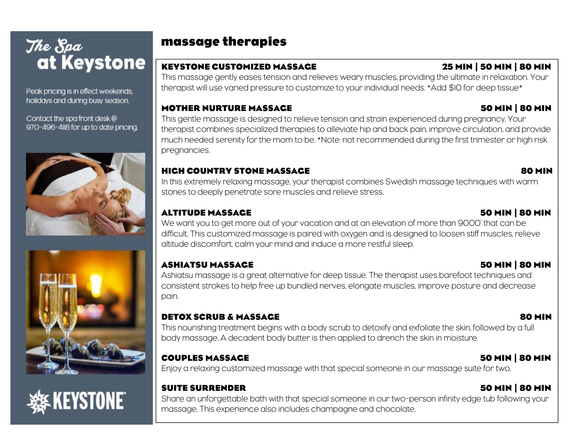Peak pricing is in effect weekends, holidays and during busy season.

Contact the spa front desk@ 970-496-4118 for up to date pricing.







### massage therapies

### KEYSTONE CUSTOMIZED MASSAGE 25 MIN | 50 MIN | 80 MIN

This massage gently eases tension and relieves weary muscles, providing the ultimate in relaxation. Your therapist will use varied pressure to customize to your individual needs. \*Add \$10 for deep tissue\*

### MOTHER NURTURE MASSAGE 50 MIN | 80 MIN

This gentle massage is designed to relieve tension and strain experienced during pregnancy. Your therapist combines specialized therapies to alleviate hip and back pain, improve circulation, and provide much needed serenity for the mom to be. \*Note: not recommended during the first trimester or high risk pregnancies.

### HIGH COUNTRY STONE MASSAGE 80 MIN

In this extremely relaxing massage, your therapist combines Swedish massage techniques with warm stones to deeply penetrate sore muscles and relieve stress.

### ALTITUDE MASSAGE 50 MIN | 80 MIN

We want you to get more out of your vacation and at an elevation of more than 9000' that can be difficult. This customized massage is paired with oxygen and is designed to loosen stiff muscles, relieve altitude discomfort, calm your mind and induce a more restful sleep.

### ASHIATSU MASSAGE 50 MIN | 80 MIN

Ashiatsu massage is a great alternative for deep tissue. The therapist uses barefoot techniques and consistent strokes to help free up bundled nerves, elongate muscles, improve posture and decrease pain.

### DETOX SCRUB & MASSAGE 80 MIN

This nourishing treatment begins with a body scrub to detoxify and exfoliate the skin, followed by a full body massage. A decadent body butter is then applied to drench the skin in moisture.

### COUPLES MASSAGE 50 MIN | 80 MIN

Enjoy a relaxing customized massage with that special someone in our massage suite for two.

### SUITE SURRENDER 50 MIN | 80 MIN

Share an unforgettable bath with that special someone in our two-person infinity edge tub following your massage. This experience also includes champagne and chocolate.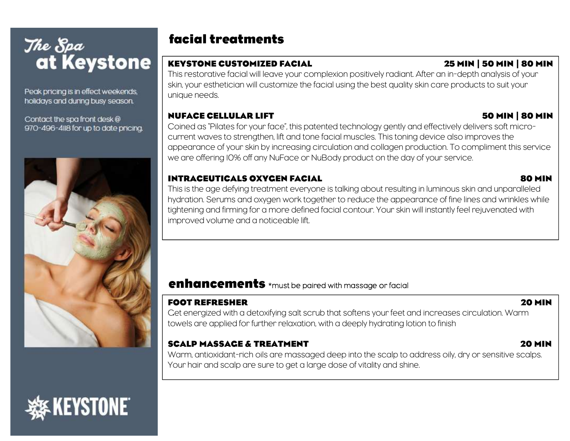Peak pricing is in effect weekends, holidays and during busy season.

Contact the spa front desk @ 970-496-4118 for up to date pricina.



**EYSTONE®** 

### facial treatments

### KEYSTONE CUSTOMIZED FACIAL 25 MIN | 50 MIN | 80 MIN

This restorative facial will leave your complexion positively radiant. After an in-depth analysis of your skin, your esthetician will customize the facial using the best quality skin care products to suit your unique needs.

### NUFACE CELLULAR LIFT 50 MIN | 80 MIN

Coined as "Pilates for your face", this patented technology gently and effectively delivers soft microcurrent waves to strengthen, lift and tone facial muscles. This toning device also improves the appearance of your skin by increasing circulation and collagen production. To compliment this service we are offering 10% off any NuFace or NuBody product on the day of your service.

### INTRACEUTICALS OXYGEN FACIAL 80 MIN

This is the age defying treatment everyone is talking about resulting in luminous skin and unparalleled hydration. Serums and oxygen work together to reduce the appearance of fine lines and wrinkles while tightening and firming for a more defined facial contour. Your skin will instantly feel rejuvenated with improved volume and a noticeable lift.

### enhancements \*must be paired with massage or facial

### FOOT REFRESHER 20 MIN

Get energized with a detoxifying salt scrub that softens your feet and increases circulation. Warm towels are applied for further relaxation, with a deeply hydrating lotion to finish

### SCALP MASSAGE & TREATMENT 20 MIN

Warm, antioxidant-rich oils are massaged deep into the scalp to address oily, dry or sensitive scalps. Your hair and scalp are sure to get a large dose of vitality and shine.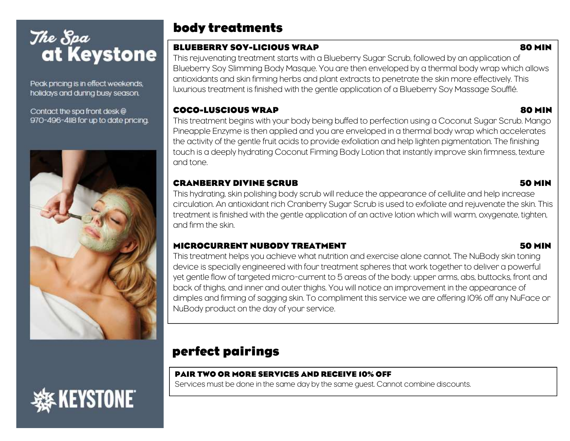Peak pricing is in effect weekends, holidays and during busy season.

Contact the spa front desk @ 970-496-4118 for up to date pricing.



## **(Eystone)**

### body treatments

### BLUEBERRY SOY-LICIOUS WRAP **80 MINUTES**

This rejuvenating treatment starts with a Blueberry Sugar Scrub, followed by an application of Blueberry Soy Slimming Body Masque. You are then enveloped by a thermal body wrap which allows antioxidants and skin firming herbs and plant extracts to penetrate the skin more effectively. This luxurious treatment is finished with the gentle application of a Blueberry Soy Massage Soufflé.

### COCO-LUSCIOUS WRAP 80 MIN

This treatment begins with your body being buffed to perfection using a Coconut Sugar Scrub. Mango Pineapple Enzyme is then applied and you are enveloped in a thermal body wrap which accelerates the activity of the gentle fruit acids to provide exfoliation and help lighten pigmentation. The finishing touch is a deeply hydrating Coconut Firming Body Lotion that instantly improve skin firmness, texture and tone.

### CRANBERRY DIVINE SCRUB 50 MIN

This hydrating, skin polishing body scrub will reduce the appearance of cellulite and help increase circulation. An antioxidant rich Cranberry Sugar Scrub is used to exfoliate and rejuvenate the skin. This treatment is finished with the gentle application of an active lotion which will warm, oxygenate, tighten, and firm the skin.

### MICROCURRENT NUBODY TREATMENT **ALCORAGIZATION** TO MIN

This treatment helps you achieve what nutrition and exercise alone cannot. The NuBody skin toning device is specially engineered with four treatment spheres that work together to deliver a powerful yet gentle flow of targeted micro-current to 5 areas of the body: upper arms, abs, buttocks, front and back of thighs, and inner and outer thighs. You will notice an improvement in the appearance of dimples and firming of sagging skin. To compliment this service we are offering 10% off any NuFace or NuBody product on the day of your service.

### perfect pairings

### PAIR TWO OR MORE SERVICES AND RECEIVE 10% OFF

Services must be done in the same day by the same guest. Cannot combine discounts.